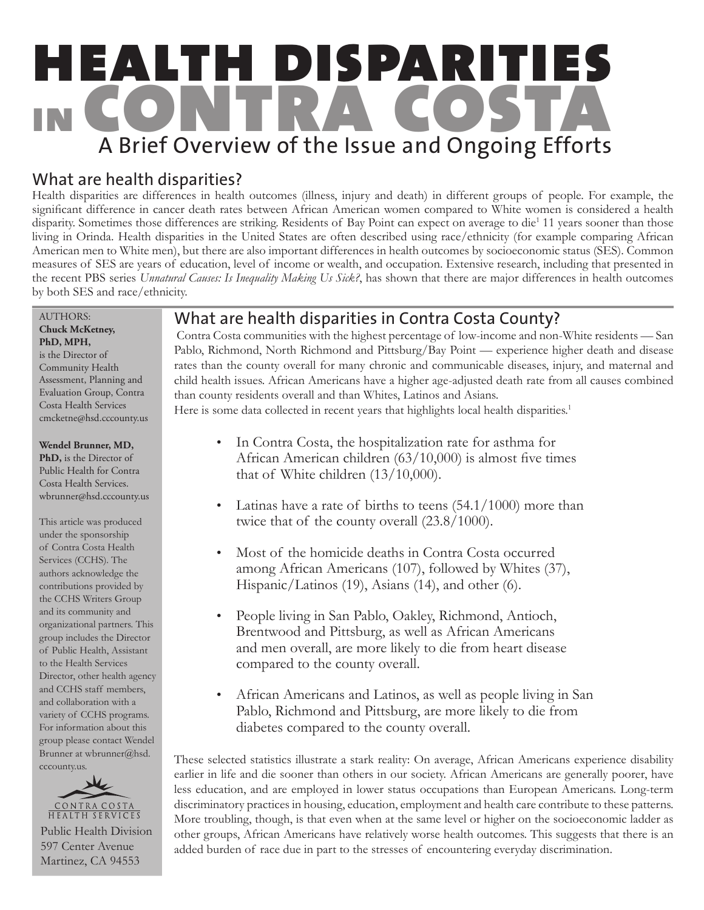# health disparities in contra costa A Brief Overview of the Issue and Ongoing Efforts

# What are health disparities?

Health disparities are differences in health outcomes (illness, injury and death) in different groups of people. For example, the significant difference in cancer death rates between African American women compared to White women is considered a health disparity. Sometimes those differences are striking. Residents of Bay Point can expect on average to die<sup>1</sup> 11 years sooner than those living in Orinda. Health disparities in the United States are often described using race/ethnicity (for example comparing African American men to White men), but there are also important differences in health outcomes by socioeconomic status (SES). Common measures of SES are years of education, level of income or wealth, and occupation. Extensive research, including that presented in the recent PBS series *Unnatural Causes: Is Inequality Making Us Sick?*, has shown that there are major differences in health outcomes by both SES and race/ethnicity.

#### i AUTHORS: **Chuck McKetney, PhD, MPH,**

is the Director of Community Health Assessment, Planning and Evaluation Group, Contra Costa Health Services cmcketne@hsd.cccounty.us

#### **Wendel Brunner, MD,**

**PhD,** is the Director of Public Health for Contra Costa Health Services. wbrunner@hsd.cccounty.us

This article was produced under the sponsorship of Contra Costa Health Services (CCHS). The authors acknowledge the contributions provided by the CCHS Writers Group and its community and organizational partners. This group includes the Director of Public Health, Assistant to the Health Services Director, other health agency and CCHS staff members, and collaboration with a variety of CCHS programs. For information about this group please contact Wendel Brunner at wbrunner@hsd. cccounty.us.



Public Health Division 597 Center Avenue Martinez, CA 94553

# What are health disparities in Contra Costa County?

 Contra Costa communities with the highest percentage of low-income and non-White residents — San Pablo, Richmond, North Richmond and Pittsburg/Bay Point — experience higher death and disease rates than the county overall for many chronic and communicable diseases, injury, and maternal and child health issues. African Americans have a higher age-adjusted death rate from all causes combined than county residents overall and than Whites, Latinos and Asians. Here is some data collected in recent years that highlights local health disparities.<sup>1</sup>

- In Contra Costa, the hospitalization rate for asthma for African American children (63/10,000) is almost five times that of White children (13/10,000).
- Latinas have a rate of births to teens (54.1/1000) more than twice that of the county overall (23.8/1000).
- Most of the homicide deaths in Contra Costa occurred among African Americans (107), followed by Whites (37), Hispanic/Latinos (19), Asians (14), and other (6). •
- People living in San Pablo, Oakley, Richmond, Antioch, Brentwood and Pittsburg, as well as African Americans and men overall, are more likely to die from heart disease compared to the county overall. •
- African Americans and Latinos, as well as people living in San Pablo, Richmond and Pittsburg, are more likely to die from diabetes compared to the county overall. •

These selected statistics illustrate a stark reality: On average, African Americans experience disability earlier in life and die sooner than others in our society. African Americans are generally poorer, have less education, and are employed in lower status occupations than European Americans. Long-term discriminatory practices in housing, education, employment and health care contribute to these patterns. More troubling, though, is that even when at the same level or higher on the socioeconomic ladder as other groups, African Americans have relatively worse health outcomes. This suggests that there is an added burden of race due in part to the stresses of encountering everyday discrimination.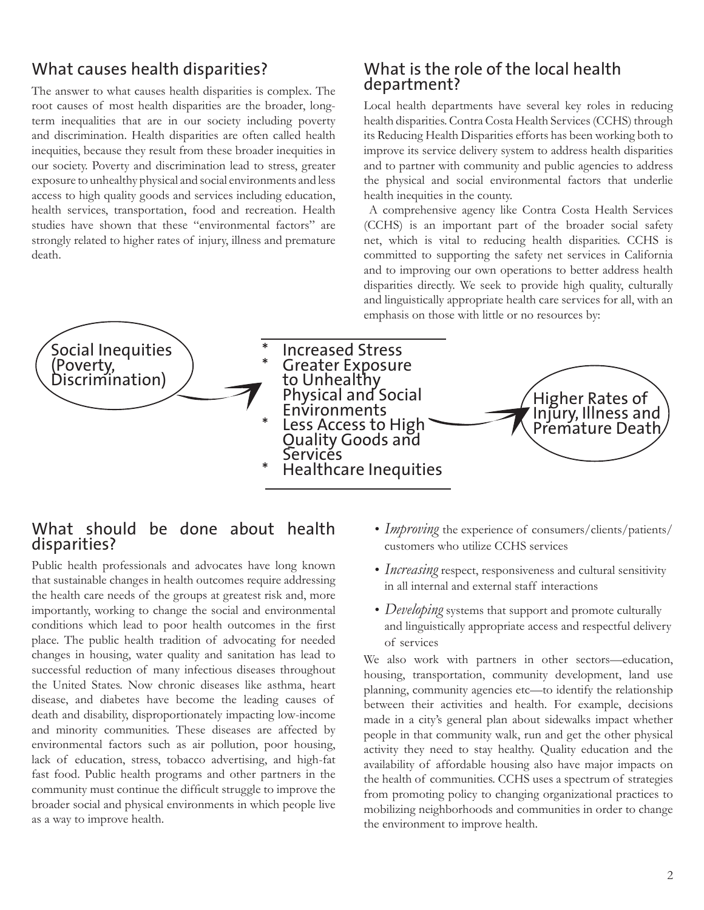## What causes health disparities?

The answer to what causes health disparities is complex. The root causes of most health disparities are the broader, longterm inequalities that are in our society including poverty and discrimination. Health disparities are often called health inequities, because they result from these broader inequities in our society. Poverty and discrimination lead to stress, greater exposure to unhealthy physical and social environments and less access to high quality goods and services including education, health services, transportation, food and recreation. Health studies have shown that these "environmental factors" are strongly related to higher rates of injury, illness and premature death.

#### What is the role of the local health department?

Local health departments have several key roles in reducing health disparities. Contra Costa Health Services (CCHS) through its Reducing Health Disparities efforts has been working both to improve its service delivery system to address health disparities and to partner with community and public agencies to address the physical and social environmental factors that underlie health inequities in the county.

 A comprehensive agency like Contra Costa Health Services (CCHS) is an important part of the broader social safety net, which is vital to reducing health disparities. CCHS is committed to supporting the safety net services in California and to improving our own operations to better address health disparities directly. We seek to provide high quality, culturally and linguistically appropriate health care services for all, with an emphasis on those with little or no resources by:



#### What should be done about health disparities?

Public health professionals and advocates have long known that sustainable changes in health outcomes require addressing the health care needs of the groups at greatest risk and, more importantly, working to change the social and environmental conditions which lead to poor health outcomes in the first place. The public health tradition of advocating for needed changes in housing, water quality and sanitation has lead to successful reduction of many infectious diseases throughout the United States. Now chronic diseases like asthma, heart disease, and diabetes have become the leading causes of death and disability, disproportionately impacting low-income and minority communities. These diseases are affected by environmental factors such as air pollution, poor housing, lack of education, stress, tobacco advertising, and high-fat fast food. Public health programs and other partners in the community must continue the difficult struggle to improve the broader social and physical environments in which people live as a way to improve health.

- *Improving* the experience of consumers/clients/patients/ customers who utilize CCHS services
- *Increasing* respect, responsiveness and cultural sensitivity *•* in all internal and external staff interactions
- *Developing* systems that support and promote culturally and linguistically appropriate access and respectful delivery of services

We also work with partners in other sectors—education, housing, transportation, community development, land use planning, community agencies etc—to identify the relationship between their activities and health. For example, decisions made in a city's general plan about sidewalks impact whether people in that community walk, run and get the other physical activity they need to stay healthy. Quality education and the availability of affordable housing also have major impacts on the health of communities. CCHS uses a spectrum of strategies from promoting policy to changing organizational practices to mobilizing neighborhoods and communities in order to change the environment to improve health.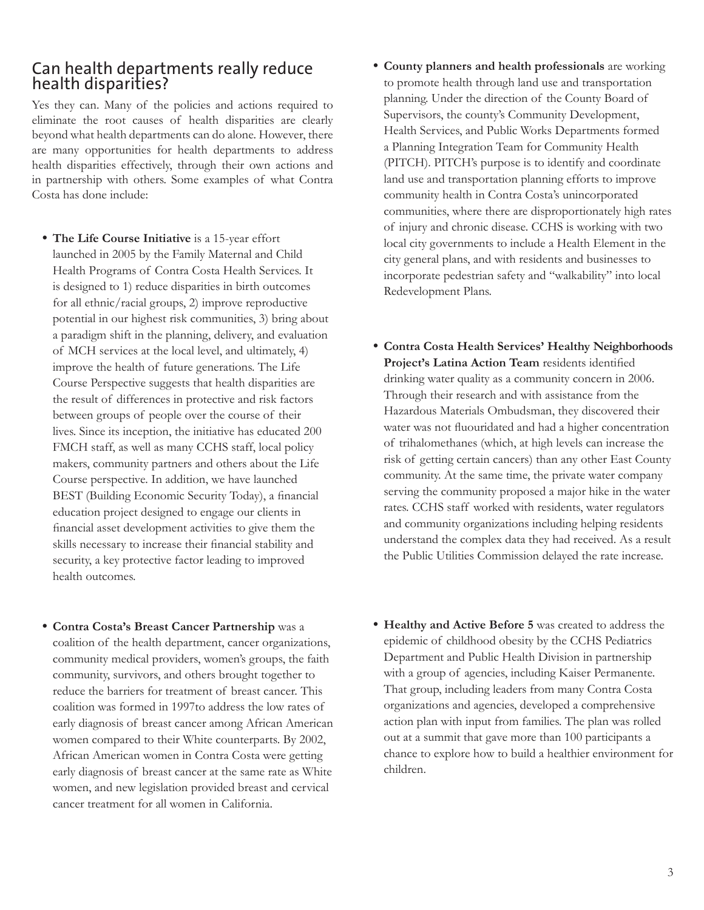### Can health departments really reduce health disparities?

Yes they can. Many of the policies and actions required to eliminate the root causes of health disparities are clearly beyond what health departments can do alone. However, there are many opportunities for health departments to address health disparities effectively, through their own actions and in partnership with others. Some examples of what Contra Costa has done include:

- **The Life Course Initiative** is a 15-year effort **•** launched in 2005 by the Family Maternal and Child Health Programs of Contra Costa Health Services. It is designed to 1) reduce disparities in birth outcomes for all ethnic/racial groups, 2) improve reproductive potential in our highest risk communities, 3) bring about a paradigm shift in the planning, delivery, and evaluation of MCH services at the local level, and ultimately, 4) improve the health of future generations. The Life Course Perspective suggests that health disparities are the result of differences in protective and risk factors between groups of people over the course of their lives. Since its inception, the initiative has educated 200 FMCH staff, as well as many CCHS staff, local policy makers, community partners and others about the Life Course perspective. In addition, we have launched BEST (Building Economic Security Today), a financial education project designed to engage our clients in financial asset development activities to give them the skills necessary to increase their financial stability and security, a key protective factor leading to improved health outcomes.
- **Contra Costa's Breast Cancer Partnership** was a **•** coalition of the health department, cancer organizations, community medical providers, women's groups, the faith community, survivors, and others brought together to reduce the barriers for treatment of breast cancer. This coalition was formed in 1997to address the low rates of early diagnosis of breast cancer among African American women compared to their White counterparts. By 2002, African American women in Contra Costa were getting early diagnosis of breast cancer at the same rate as White women, and new legislation provided breast and cervical cancer treatment for all women in California.
- **County planners and health professionals** are working **•** to promote health through land use and transportation planning. Under the direction of the County Board of Supervisors, the county's Community Development, Health Services, and Public Works Departments formed a Planning Integration Team for Community Health (PITCH). PITCH's purpose is to identify and coordinate land use and transportation planning efforts to improve community health in Contra Costa's unincorporated communities, where there are disproportionately high rates of injury and chronic disease. CCHS is working with two local city governments to include a Health Element in the city general plans, and with residents and businesses to incorporate pedestrian safety and "walkability" into local Redevelopment Plans.
- **Contra Costa Health Services' Healthy Neighborhoods • Project's Latina Action Team** residents identified drinking water quality as a community concern in 2006. Through their research and with assistance from the Hazardous Materials Ombudsman, they discovered their water was not fluouridated and had a higher concentration of trihalomethanes (which, at high levels can increase the risk of getting certain cancers) than any other East County community. At the same time, the private water company serving the community proposed a major hike in the water rates. CCHS staff worked with residents, water regulators and community organizations including helping residents understand the complex data they had received. As a result the Public Utilities Commission delayed the rate increase.
- **Healthy and Active Before 5** was created to address the **•**epidemic of childhood obesity by the CCHS Pediatrics Department and Public Health Division in partnership with a group of agencies, including Kaiser Permanente. That group, including leaders from many Contra Costa organizations and agencies, developed a comprehensive action plan with input from families. The plan was rolled out at a summit that gave more than 100 participants a chance to explore how to build a healthier environment for children.